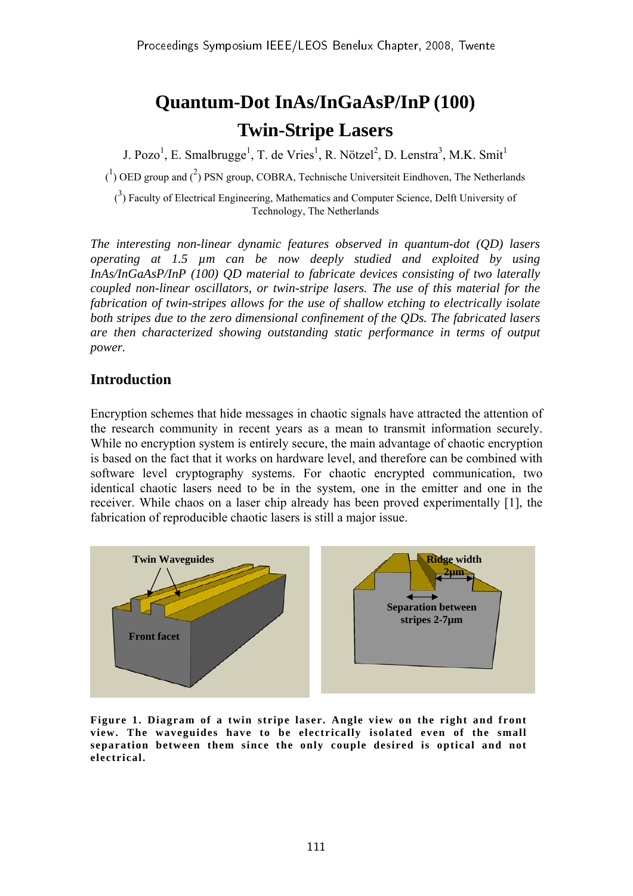# **Quantum-Dot InAs/InGaAsP/InP (100) Twin-Stripe Lasers**

J. Pozo<sup>1</sup>, E. Smalbrugge<sup>1</sup>, T. de Vries<sup>1</sup>, R. Nötzel<sup>2</sup>, D. Lenstra<sup>3</sup>, M.K. Smit<sup>1</sup>

 $\binom{1}{1}$  OED group and  $\binom{2}{1}$  PSN group, COBRA, Technische Universiteit Eindhoven, The Netherlands

 $(3)$  Faculty of Electrical Engineering, Mathematics and Computer Science, Delft University of Technology, The Netherlands

*The interesting non-linear dynamic features observed in quantum-dot (QD) lasers operating at 1.5 µm can be now deeply studied and exploited by using InAs/InGaAsP/InP (100) QD material to fabricate devices consisting of two laterally coupled non-linear oscillators, or twin-stripe lasers. The use of this material for the fabrication of twin-stripes allows for the use of shallow etching to electrically isolate both stripes due to the zero dimensional confinement of the QDs. The fabricated lasers are then characterized showing outstanding static performance in terms of output power.* 

## **Introduction**

Encryption schemes that hide messages in chaotic signals have attracted the attention of the research community in recent years as a mean to transmit information securely. While no encryption system is entirely secure, the main advantage of chaotic encryption is based on the fact that it works on hardware level, and therefore can be combined with software level cryptography systems. For chaotic encrypted communication, two identical chaotic lasers need to be in the system, one in the emitter and one in the receiver. While chaos on a laser chip already has been proved experimentally [1], the fabrication of reproducible chaotic lasers is still a major issue.



**Figure 1. Diagram of a twin stripe laser. Angle view on the right and front view. The waveguides have to be electrically isolated even of the small separation between them since the only couple desired is optical and not electrical.**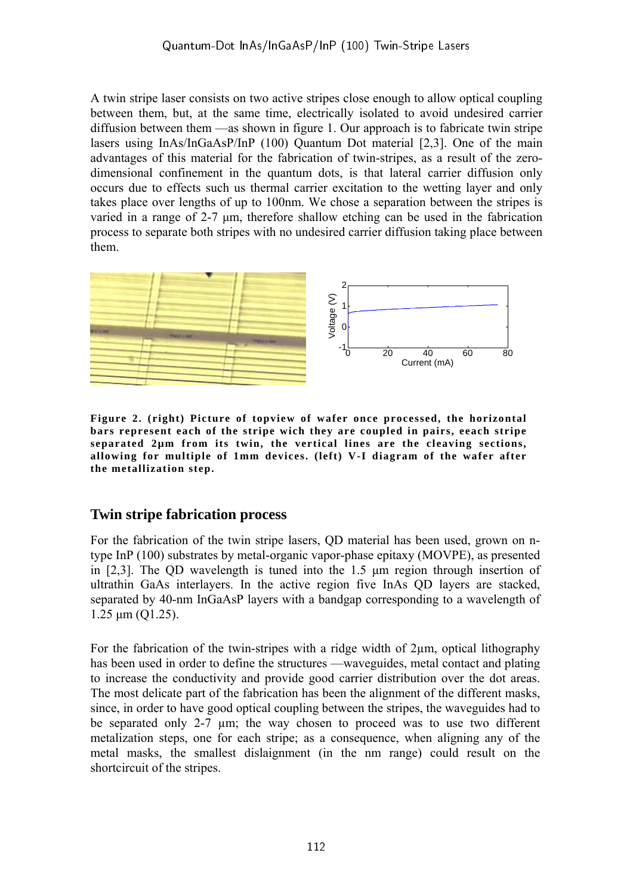A twin stripe laser consists on two active stripes close enough to allow optical coupling between them, but, at the same time, electrically isolated to avoid undesired carrier diffusion between them —as shown in figure 1. Our approach is to fabricate twin stripe lasers using InAs/InGaAsP/InP (100) Quantum Dot material [2,3]. One of the main advantages of this material for the fabrication of twin-stripes, as a result of the zerodimensional confinement in the quantum dots, is that lateral carrier diffusion only occurs due to effects such us thermal carrier excitation to the wetting layer and only takes place over lengths of up to 100nm. We chose a separation between the stripes is varied in a range of 2-7 μm, therefore shallow etching can be used in the fabrication process to separate both stripes with no undesired carrier diffusion taking place between them.



**Figure 2. (right) Picture of topview of wafer once processed, the horizontal bars represent each of the stripe wich they are coupled in pairs, eeach stripe separated 2µm from its twin, the vertical lines are the cleaving sections, allowing for multiple of 1mm devices. (left) V-I diagram of the wafer after the metallization step.** 

## **Twin stripe fabrication process**

For the fabrication of the twin stripe lasers, QD material has been used, grown on ntype InP (100) substrates by metal-organic vapor-phase epitaxy (MOVPE), as presented in [2,3]. The QD wavelength is tuned into the 1.5 μm region through insertion of ultrathin GaAs interlayers. In the active region five InAs QD layers are stacked, separated by 40-nm InGaAsP layers with a bandgap corresponding to a wavelength of 1.25 μm (Q1.25).

For the fabrication of the twin-stripes with a ridge width of 2µm, optical lithography has been used in order to define the structures —waveguides, metal contact and plating to increase the conductivity and provide good carrier distribution over the dot areas. The most delicate part of the fabrication has been the alignment of the different masks, since, in order to have good optical coupling between the stripes, the waveguides had to be separated only 2-7 µm; the way chosen to proceed was to use two different metalization steps, one for each stripe; as a consequence, when aligning any of the metal masks, the smallest dislaignment (in the nm range) could result on the shortcircuit of the stripes.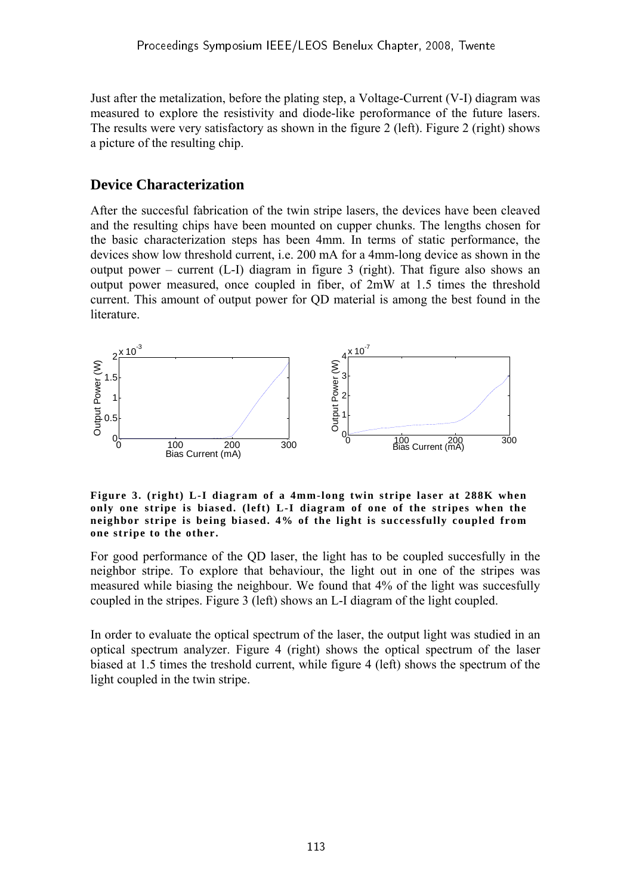Just after the metalization, before the plating step, a Voltage-Current (V-I) diagram was measured to explore the resistivity and diode-like peroformance of the future lasers. The results were very satisfactory as shown in the figure 2 (left). Figure 2 (right) shows a picture of the resulting chip.

## **Device Characterization**

After the succesful fabrication of the twin stripe lasers, the devices have been cleaved and the resulting chips have been mounted on cupper chunks. The lengths chosen for the basic characterization steps has been 4mm. In terms of static performance, the devices show low threshold current, i.e. 200 mA for a 4mm-long device as shown in the output power – current (L-I) diagram in figure 3 (right). That figure also shows an output power measured, once coupled in fiber, of 2mW at 1.5 times the threshold current. This amount of output power for QD material is among the best found in the **literature** 



**Figure 3. (right) L-I diagram of a 4mm-long twin stripe laser at 288K when only one stripe is biased. (left) L-I diagram of one of the stripes when the neighbor stripe is being biased. 4% of the light is successfully coupled from one stripe to the other.** 

For good performance of the QD laser, the light has to be coupled succesfully in the neighbor stripe. To explore that behaviour, the light out in one of the stripes was measured while biasing the neighbour. We found that 4% of the light was succesfully coupled in the stripes. Figure 3 (left) shows an L-I diagram of the light coupled.

In order to evaluate the optical spectrum of the laser, the output light was studied in an optical spectrum analyzer. Figure 4 (right) shows the optical spectrum of the laser biased at 1.5 times the treshold current, while figure 4 (left) shows the spectrum of the light coupled in the twin stripe.